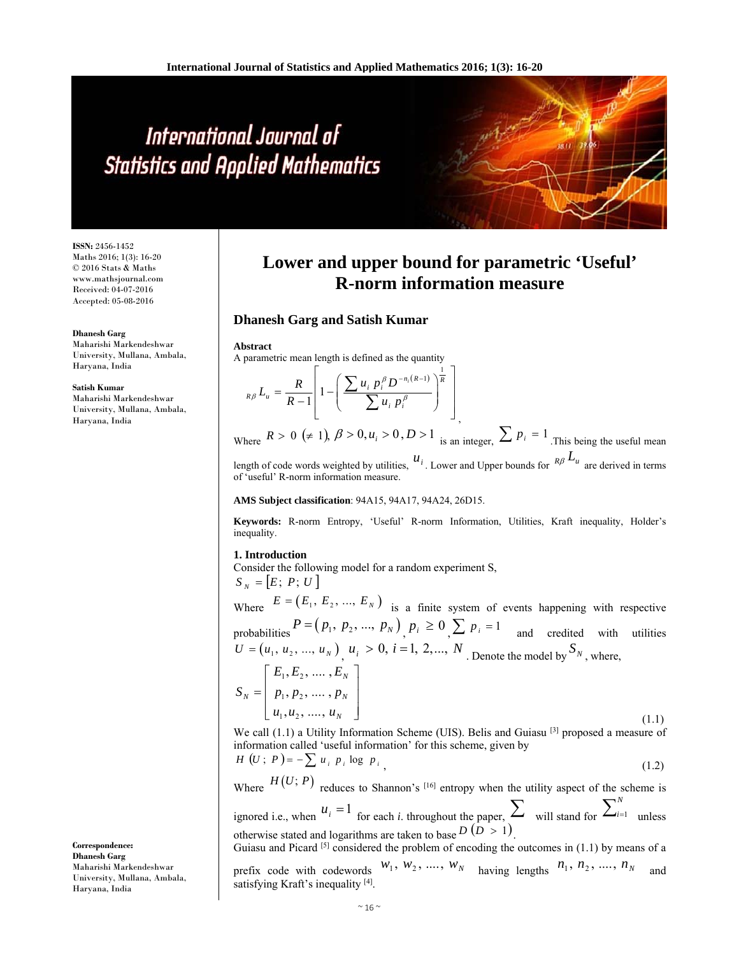# International Journal of **Statistics and Applied Mathematics**

**ISSN:** 2456-1452 Maths 2016; 1(3): 16-20 © 2016 Stats & Maths www.mathsjournal.com Received: 04-07-2016 Accepted: 05-08-2016

#### **Dhanesh Garg**

Maharishi Markendeshwar University, Mullana, Ambala, Haryana, India

#### **Satish Kumar**

Maharishi Markendeshwar University, Mullana, Ambala, Haryana, India

# **Lower and upper bound for parametric 'Useful' R-norm information measure**

# **Dhanesh Garg and Satish Kumar**

#### **Abstract**

A parametric mean length is defined as the quantity

$$
_{R\beta}L_{u}=\frac{R}{R-1}\left[1-\left(\frac{\sum u_{i} p_{i}^{\beta} D^{-n_{i}(R-1)}}{\sum u_{i} p_{i}^{\beta}}\right)^{\frac{1}{R}}\right]
$$

Where  $R > 0$  ( $\neq$  1),  $\beta > 0, u_i > 0, D > 1$  is an integer,  $\sum_{i=1}^{n} p_i = 1$ . This being the useful mean length of code words weighted by utilities,  $u_i$ . Lower and Upper bounds for  $R\beta L_u$  are derived in terms

of 'useful' R-norm information measure.

#### **AMS Subject classification**: 94A15, 94A17, 94A24, 26D15.

**Keywords:** R-norm Entropy, 'Useful' R-norm Information, Utilities, Kraft inequality, Holder's inequality.

# **1. Introduction**

Consider the following model for a random experiment S,  $S_N = [E; P; U]$ 

Where  $E = (E_1, E_2, ..., E_N)$  is a finite system of events happening with respective probabilities  $P = (p_1, p_2, ..., p_N)$ ,  $p_i \ge 0$ ,  $\sum p_i = 1$  and credited with utilities  $U = (u_1, u_2, ..., u_N)$   $u_i > 0$ ,  $i = 1, 2, ..., N$ . Denote the model by  $S_N$ , where,  $\left[ \begin{array}{c} E_1, E_2, \, .... \, , E_{_N} \end{array} \right]$  $S_N = \begin{bmatrix} p_1, p_2, ..., p_N \end{bmatrix}$  $\left[ u_1, u_2, \dots, u_N \right]$  (1.1)

We call  $(1.1)$  a Utility Information Scheme (UIS). Belis and Guiasu  $[3]$  proposed a measure of information called 'useful information' for this scheme, given by

$$
H\left(U\,;\,P\right)=-\sum u_i\ p_i\log\ p_i\tag{1.2}
$$

Where  $H(U; P)$  reduces to Shannon's <sup>[16]</sup> entropy when the utility aspect of the scheme is ignored i.e., when  $u_i = 1$  for each *i*. throughout the paper,  $\sum$  will stand for  $\sum_{i=1}^{N}$  $i=1$  unless

otherwise stated and logarithms are taken to base  $D(D > 1)$ . Guiasu and Picard  $[5]$  considered the problem of encoding the outcomes in  $(1.1)$  by means of a

prefix code with codewords  $W_1, W_2, \dots, W_N$  having lengths  $n_1, n_2, \dots, n_N$  and satisfying Kraft's inequality [4].

**Correspondence: Dhanesh Garg**  Maharishi Markendeshwar University, Mullana, Ambala, Haryana, India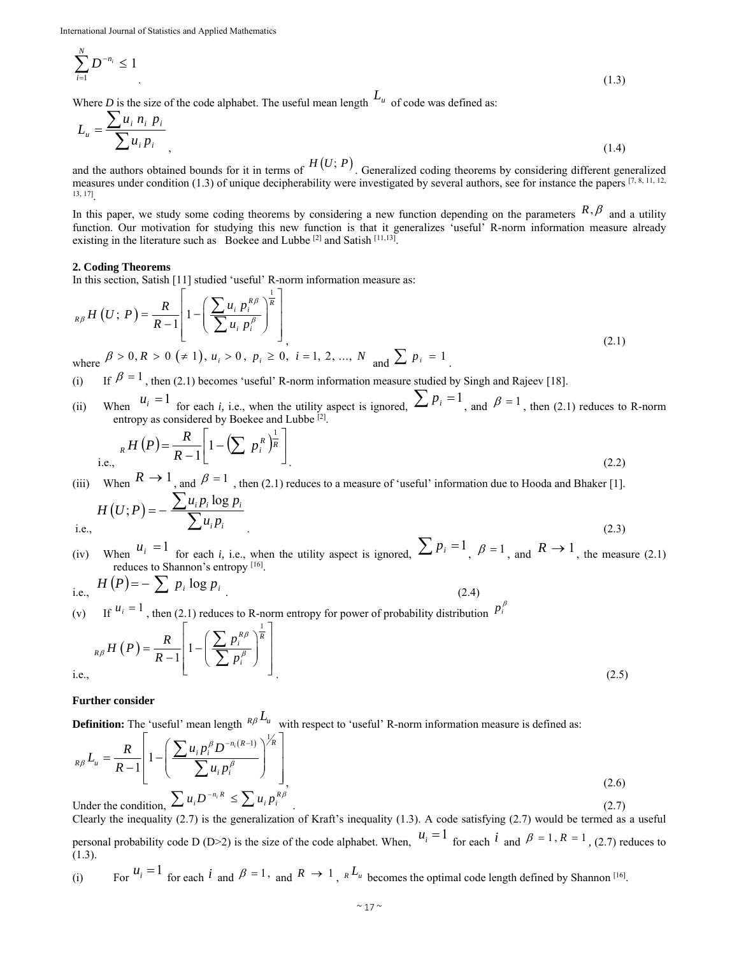$$
\sum_{i=1}^{N} D^{-n_i} \le 1
$$
\n(1.3)

Where *D* is the size of the code alphabet. The useful mean length  $L_u$  of code was defined as:

$$
L_u = \frac{\sum u_i \, n_i \, p_i}{\sum u_i \, p_i},\tag{1.4}
$$

and the authors obtained bounds for it in terms of  $H(U; P)$ . Generalized coding theorems by considering different generalized measures under condition (1.3) of unique decipherability were investigated by several authors, see for instance the papers  $[7, 8, 11, 12, 12]$ 13, 17].

In this paper, we study some coding theorems by considering a new function depending on the parameters  $R, \beta$  and a utility function. Our motivation for studying this new function is that it generalizes 'useful' R-norm information measure already existing in the literature such as Boekee and Lubbe [2] and Satish [11,13].

### **2. Coding Theorems**

In this section, Satish [11] studied 'useful' R-norm information measure as:

$$
{}_{R\beta}H(U; P) = \frac{R}{R-1} \left[ 1 - \left( \frac{\sum u_i p_i^{R\beta}}{\sum u_i p_i^{\beta}} \right)^{\frac{1}{R}} \right]
$$
  
where  $\beta > 0, R > 0$  ( $\neq$  1),  $u_i > 0, p_i \ge 0, i = 1, 2, ..., N$  and  $\sum p_i = 1$  (2.1)

(i) If  $\beta = 1$ , then (2.1) becomes 'useful' R-norm information measure studied by Singh and Rajeev [18].

(ii) When  $u_i = 1$  for each *i*, i.e., when the utility aspect is ignored,  $\sum_i p_i = 1$ , and  $\beta = 1$ , then (2.1) reduces to R-norm entropy as considered by Boekee and Lubbe [2].

i.e., 
$$
{}_{R}H(P) = \frac{R}{R-1} \left[ 1 - \left( \sum p_i^R \right)^{\frac{1}{R}} \right]
$$
  
(2.2)

(iii) When  $K \to 1$ , and  $\beta = 1$ , then (2.1) reduces to a measure of 'useful' information due to Hooda and Bhaker [1].

$$
H(U;P) = -\frac{\sum u_i p_i \log p_i}{\sum u_i p_i} \tag{2.3}
$$

 $i.6$ 

(iv) When  $u_i = 1$  for each *i*, i.e., when the utility aspect is ignored,  $\sum_i p_i = 1$ ,  $\beta = 1$ , and  $R \rightarrow 1$ , the measure (2.1) reduces to Shannon's entropy [16].

i.e., 
$$
H(P) = -\sum p_i \log p_i
$$
 (2.4)

(v) If  $u_i = 1$ , then (2.1) reduces to R-norm entropy for power of probability distribution  $p_i^{\beta}$  $1\sqrt{1}$ 

$$
{}_{R\beta}H(P) = \frac{R}{R-1}\left[1-\left(\frac{\sum p_i^{R\beta}}{\sum p_i^{\beta}}\right)^{\frac{1}{R}}\right]
$$
\ni.e.,

\n
$$
(2.5)
$$

## **Further consider**

**Definition:** The 'useful' mean length  $R\beta L_u$  with respect to 'useful' R-norm information measure is defined as:

$$
{}_{R\beta}L_{u} = \frac{R}{R-1} \left[ 1 - \left( \frac{\sum u_{i} p_{i}^{\beta} D^{-n_{i}(R-1)}}{\sum u_{i} p_{i}^{\beta}} \right)^{1/k} \right]_{A}
$$
\nUnder the condition,  $\sum u_{i} D^{-n_{i}R} \leq \sum u_{i} p_{i}^{R\beta}$ 

\n(2.6)

Clearly the inequality (2.7) is the generalization of Kraft's inequality (1.3). A code satisfying (2.7) would be termed as a useful personal probability code D (D>2) is the size of the code alphabet. When,  $u_i = 1$  for each  $i$  and  $\beta = 1$ ,  $R = 1$ , (2.7) reduces to (1.3).

(i) For 
$$
u_i = 1
$$
 for each  $i$  and  $\beta = 1$ , and  $R \rightarrow 1$ ,  ${}_{R}L_{u}$  becomes the optimal code length defined by Shannon <sup>[16]</sup>.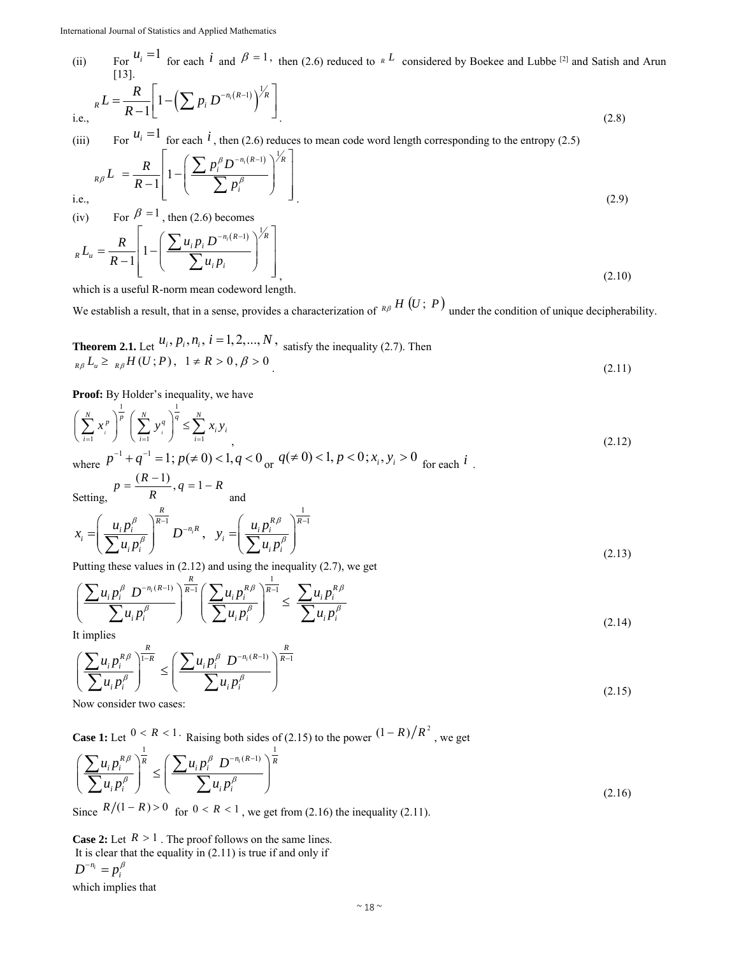(ii) For  $u_i = 1$  for each *i* and  $\beta = 1$ , then (2.6) reduced to  $R^L$  considered by Boekee and Lubbe <sup>[2]</sup> and Satish and Arun [13].

i.e., 
$$
{}_{R}L = \frac{R}{R-1} \left[ 1 - \left( \sum p_i D^{-n_i(R-1)} \right)^{1/2} \right]
$$
 (2.8)

(iii) For  $u_i - i$  for each <sup>*i*</sup>, then (2.6) reduces to mean code word length corresponding to the entropy (2.5)

$$
{}_{R\beta}L = \frac{R}{R-1} \left[ 1 - \left( \frac{\sum p_i^{\beta} D^{-n_i(R-1)}}{\sum p_i^{\beta}} \right)^{1/k} \right]
$$
  
i.e.,  
(iv) For  $\beta = 1$ , then (2.6) becomes (2.9)

i.e.,

 $(R-1)$   $\bigvee^{\frac{1}{2}}$ 1 1  $\sum_{i}^{n} D^{-n_i(R-1)} \Bigg\}^{Z_R}$  $R - u$  $i$  $P_i$  $L_{u} = \frac{R}{R_{u}} \left| 1 - \left( \frac{\sum u_{i} p_{i} D}{R_{u}} \right) \right|$  $R-1$   $\bigcup u_i p$  $=\frac{R}{R-1}\left[1-\left(\frac{\sum u_i p_i D^{-n_i(R-1)}}{\sum u_i p_i}\right)^{1/R}\right]$  $\overline{\sum}$  $(2.10)$ 

which is a useful R-norm mean codeword length.

We establish a result, that in a sense, provides a characterization of  $R\beta H(U; P)$  under the condition of unique decipherability.

**Theorem 2.1.** Let 
$$
u_i, p_i, n_i, i = 1, 2, ..., N
$$
, satisfy the inequality (2.7). Then  
\n $\underset{R\beta}{\beta} L_{\mu} \ge \underset{R\beta}{\beta} H(U; P), \quad 1 \ne R > 0, \beta > 0$  (2.11)

Proof: By Holder's inequality, we have

$$
\left(\sum_{i=1}^{N} x_i^p\right)^{\frac{1}{p}} \left(\sum_{i=1}^{N} y_i^q\right)^{\frac{1}{q}} \le \sum_{i=1}^{N} x_i y_i
$$
\nwhere  $p^{-1} + q^{-1} = 1$ ;  $p(\neq 0) < 1$ ,  $q < 0$  or  $q(\neq 0) < 1$ ,  $p < 0$ ;  $x_i, y_i > 0$  for each  $i$  . (2.12)

 $p = \frac{(R-1)}{R}, q = 1 - R$ 

Setting,

Setting,  
\n
$$
K
$$
 and  
\n
$$
x_{i} = \left(\frac{u_{i}p_{i}^{\beta}}{\sum u_{i}p_{i}^{\beta}}\right)^{\frac{R}{R-1}}D^{-n_{i}R}, y_{i} = \left(\frac{u_{i}p_{i}^{R\beta}}{\sum u_{i}p_{i}^{\beta}}\right)^{\frac{1}{R-1}}
$$
\n(2.13)

Putting these values in (2.12) and using the inequality (2.7), we get *R*

$$
\left(\frac{\sum u_i p_i^{\beta} D^{-n_i(R-1)}}{\sum u_i p_i^{\beta}}\right)^{\frac{R}{R-1}} \left(\frac{\sum u_i p_i^{R\beta}}{\sum u_i p_i^{\beta}}\right)^{\frac{1}{R-1}} \le \frac{\sum u_i p_i^{R\beta}}{\sum u_i p_i^{\beta}}
$$
\n(2.14)

It implies

$$
\left(\frac{\sum u_i p_i^{R\beta}}{\sum u_i p_j^{\beta}}\right)^{\frac{R}{1-R}} \le \left(\frac{\sum u_i p_i^{\beta} D^{-n_i(R-1)}}{\sum u_i p_i^{\beta}}\right)^{\frac{R}{R-1}}
$$
\n(2.15)

Now consider two cases:

**Case 1:** Let  $\frac{0 \le R \le 1}{1}$ . Raising both sides of (2.15) to the power  $\frac{(1 - R) / R^2}{1}$ , we get  $\left\{ \left( P_i^{R\beta} \right)^{\overline{R}} \right\} \leq \left( \sum u_i p_i^{\beta} D^{-n_i(R-1)} \right)^{\overline{R}}$  $iP_i$  *j*  $\qquad \qquad \angle u_iP_i$  $u_i p_i^{R\beta}$   $\Big|$ <sup>R</sup>  $\Big( \sum u_i p_i^{\beta} D_i$  $u_i p_i^{\beta}$  |  $(u_i p_i)$  $\beta$   $\overline{R}$   $(\nabla_{\alpha} \mathbf{n}^{\beta})$  $\left(\frac{\sum u_i p_i^{\beta \beta}}{\sum u_i p_i^{\beta}}\right)^{\overline{\beta}} \le \left(\frac{\sum u_i p_i^{\beta} D^{-n_i(R-1)}}{\sum u_i p_i^{\beta}}\right)^{\overline{\beta}}$  $\left(\sum u_i p_i^r\right) \qquad \left(\sum u_i p_i^r\right)$  $\sum u_i p_i^{R\beta}$  $\sum u_i p_i^{\beta}$   $\left[\sum u_i p_i^{\beta}\right]$  (2.16)

Since  $R/(1 - R) > 0$  for  $0 < R < 1$ , we get from (2.16) the inequality (2.11).

**Case 2:** Let  $R > 1$ . The proof follows on the same lines. It is clear that the equality in (2.11) is true if and only if  $D^{-n_i} = p_i^{\beta}$ 

which implies that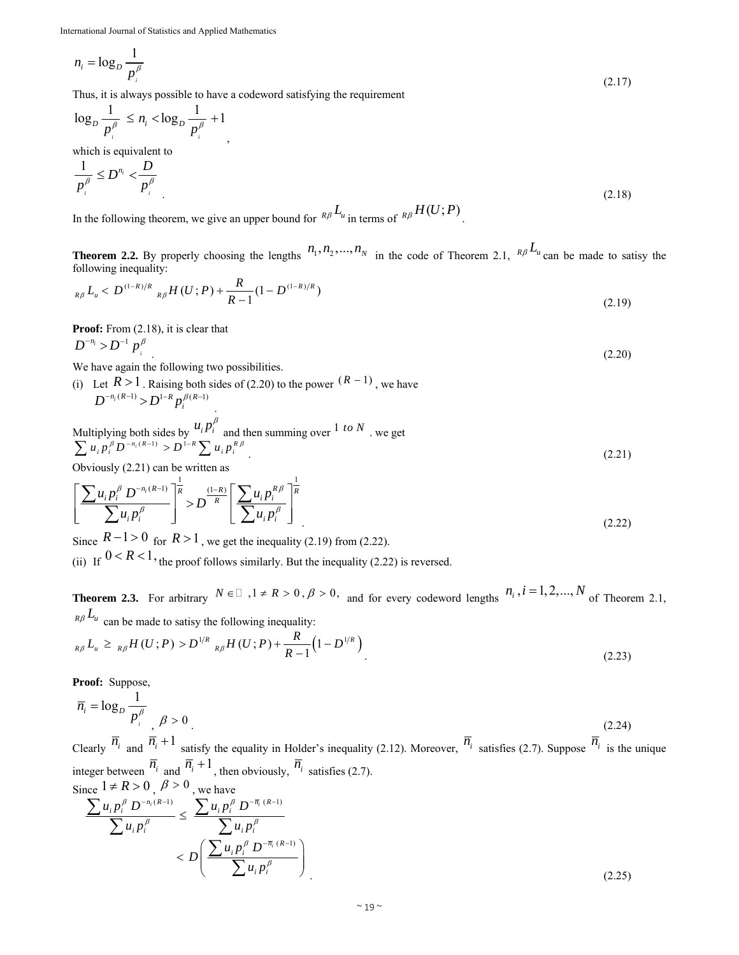$$
n_i = \log_D \frac{1}{p_i^{\beta}}
$$
\n(2.17)

Thus, it is always possible to have a codeword satisfying the requirement

,

$$
\log_D \frac{1}{p_i^{\beta}} \le n_i < \log_D \frac{1}{p_i^{\beta}} + 1
$$

which is equivalent to

$$
\frac{1}{p_i^{\beta}} \le D^{n_i} < \frac{D}{p_i^{\beta}}
$$
\n
$$
\tag{2.18}
$$

In the following theorem, we give an upper bound for  $R\beta L_u$  in terms of  $R\beta H(U;P)$ .

**Theorem 2.2.** By properly choosing the lengths  $n_1, n_2, ..., n_N$  in the code of Theorem 2.1,  $R\beta L_u$  can be made to satisy the following inequality:

$$
{}_{R\beta}L_u < D^{(1-R)/R}{}_{R\beta}H(U;P) + \frac{R}{R-1}(1 - D^{(1-R)/R})\tag{2.19}
$$

Proof: From  $(2.18)$ , it is clear that

$$
D^{-n_i} > D^{-1} p_i^{\beta} \tag{2.20}
$$

We have again the following two possibilities.

(i) Let 
$$
R > 1
$$
. Raising both sides of (2.20) to the power  $(R - 1)$ , we have  $D^{-n_i(R-1)} > D^{1-R} p_i^{\beta(R-1)}$ .

Multiplying both sides by 
$$
u_i p_i^{\beta}
$$
 and then summing over  $1$  to  $N$ , we get\n
$$
\sum u_i p_i^{\beta} D^{-n_i(R-1)} > D^{1-R} \sum u_i p_i^{R\beta}
$$
\n
$$
(2.21)
$$

Obviously  $(2.21)$  can be written as

$$
\left[\frac{\sum u_i p_i^{\beta} D^{-n_i(R-1)}}{\sum u_i p_i^{\beta}}\right]^{\frac{1}{R}} > D^{\frac{(1-R)}{R}} \left[\frac{\sum u_i p_i^{R\beta}}{\sum u_i p_i^{\beta}}\right]^{\frac{1}{R}}
$$
\n(2.22)

Since  $R-1 > 0$  for  $R > 1$ , we get the inequality (2.19) from (2.22).

(ii) If  $0 < R < 1$ , the proof follows similarly. But the inequality (2.22) is reversed.

**Theorem 2.3.** For arbitrary  $N \in \mathbb{Z}$ ,  $1 \neq R > 0$ ,  $\beta > 0$ , and for every codeword lengths  $n_i$ ,  $i = 1, 2, ..., N$  of Theorem 2.1,  $R\beta$ <sup>L<sub>u</sub></sup> can be made to satisy the following inequality:

$$
{}_{R\beta}L_u \geq {}_{R\beta}H(U;P) > D^{1/R}{}_{R\beta}H(U;P) + \frac{R}{R-1}\left(1 - D^{1/R}\right)
$$
\n(2.23)

**Proof:** Suppose,

$$
\overline{n}_{i} = \log_{D} \frac{1}{p_{i}^{\beta}}, \quad \beta > 0
$$
\n
$$
(2.24)
$$

Clearly  $\overline{n}_i$  and  $\overline{n}_i + 1$  satisfy the equality in Holder's inequality (2.12). Moreover,  $\overline{n}_i$  satisfies (2.7). Suppose  $\overline{n}_i$  is the unique integer between  $\overline{n}_i$  and  $\overline{n}_i + 1$ , then obviously,  $\overline{n}_i$  satisfies (2.7). Since  $1 \neq R > 0$   $\beta > 0$  we have

$$
\frac{\sum u_i p_i^{\beta} D^{-n_i(R-1)}}{\sum u_i p_i^{\beta}} \le \frac{\sum u_i p_i^{\beta} D^{-\overline{n}_i(R-1)}}{\sum u_i p_i^{\beta}} < D \left( \frac{\sum u_i p_i^{\beta} D^{-\overline{n}_i(R-1)}}{\sum u_i p_i^{\beta}} \right)
$$
\n(2.25)